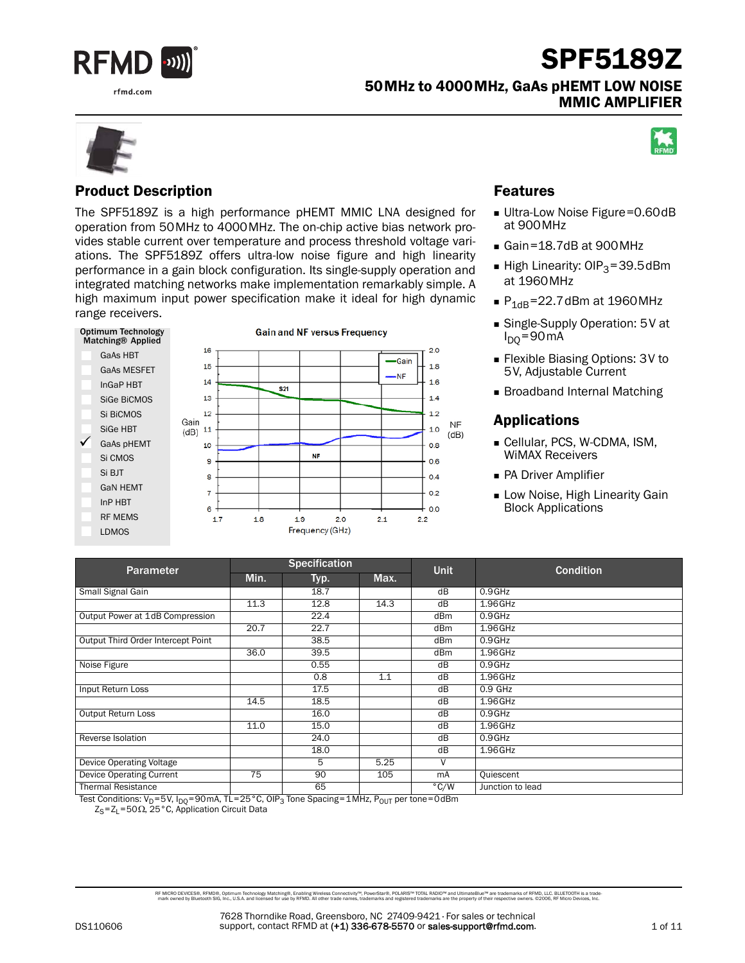

rfmd.com

50MHz to 4000MHz, GaAs pHEMT LOW NOISE MMIC AMPLIFIER



### Product Description

The SPF5189Z is a high performance pHEMT MMIC LNA designed for operation from 50MHz to 4000MHz. The on-chip active bias network provides stable current over temperature and process threshold voltage variations. The SPF5189Z offers ultra-low noise figure and high linearity performance in a gain block configuration. Its single-supply operation and integrated matching networks make implementation remarkably simple. A high maximum input power specification make it ideal for high dynamic range receivers.



### Features

- Ultra-Low Noise Figure=0.60dB at 900MHz
- Gain=18.7dB at 900MHz
- High Linearity:  $OIP_3=39.5d$ Bm at 1960MHz
- $P_{1dB} = 22.7$ dBm at 1960MHz
- Single-Supply Operation: 5V at I<sub>DQ</sub>=90mA
- Flexible Biasing Options: 3V to 5V, Adjustable Current
- **Broadband Internal Matching**

### Applications

- Cellular, PCS, W-CDMA, ISM, WiMAX Receivers
- **PA Driver Amplifier**
- **Low Noise, High Linearity Gain** Block Applications

| <b>Parameter</b>                   |      | <b>Specification</b> |      | <b>Unit</b>     | <b>Condition</b> |
|------------------------------------|------|----------------------|------|-----------------|------------------|
|                                    | Min. | Typ.                 | Max. |                 |                  |
| Small Signal Gain                  |      | 18.7                 |      | dB              | $0.9$ GHz        |
|                                    | 11.3 | 12.8                 | 14.3 | dB              | 1.96GHz          |
| Output Power at 1dB Compression    |      | 22.4                 |      | dB <sub>m</sub> | $0.9$ GHz        |
|                                    | 20.7 | 22.7                 |      | dBm             | 1.96GHz          |
| Output Third Order Intercept Point |      | 38.5                 |      | dB <sub>m</sub> | $0.9$ GHz        |
|                                    | 36.0 | 39.5                 |      | dB <sub>m</sub> | $1.96$ GHz       |
| Noise Figure                       |      | 0.55                 |      | dB              | $0.9$ GHz        |
|                                    |      | 0.8                  | 1.1  | dB              | 1.96GHz          |
| Input Return Loss                  |      | 17.5                 |      | dB              | $0.9$ GHz        |
|                                    | 14.5 | 18.5                 |      | dB              | $1.96$ GHz       |
| <b>Output Return Loss</b>          |      | 16.0                 |      | dB              | $0.9$ GHz        |
|                                    | 11.0 | 15.0                 |      | dB              | $1.96$ GHz       |
| Reverse Isolation                  |      | 24.0                 |      | dB              | $0.9$ GHz        |
|                                    |      | 18.0                 |      | dB              | 1.96GHz          |
| Device Operating Voltage           |      | 5                    | 5.25 | V               |                  |
| <b>Device Operating Current</b>    | 75   | 90                   | 105  | mA              | Quiescent        |
| <b>Thermal Resistance</b>          |      | 65                   |      | $\degree$ C/W   | Junction to lead |

Test Conditions:  $V_D = 5V$ ,  $I_{DO} = 90$  mA, TL = 25 °C, OIP<sub>3</sub> Tone Spacing=1MHz, P<sub>OUT</sub> per tone=0dBm

 $Z_S = Z_L = 50 \Omega$ , 25°C, Application Circuit Data

RF MCRO DEVCES®, RFMD®, Optimum Technology Matching®, Erabling Wireless Connectivity™, PowerStar®, POLARIS™ TOTAL RADIO™ and UltimateBlue™ are trademarks of RFMD, LLC. BLUETOOTH is a trade<br>… mark owned by Bluetooth SIG, I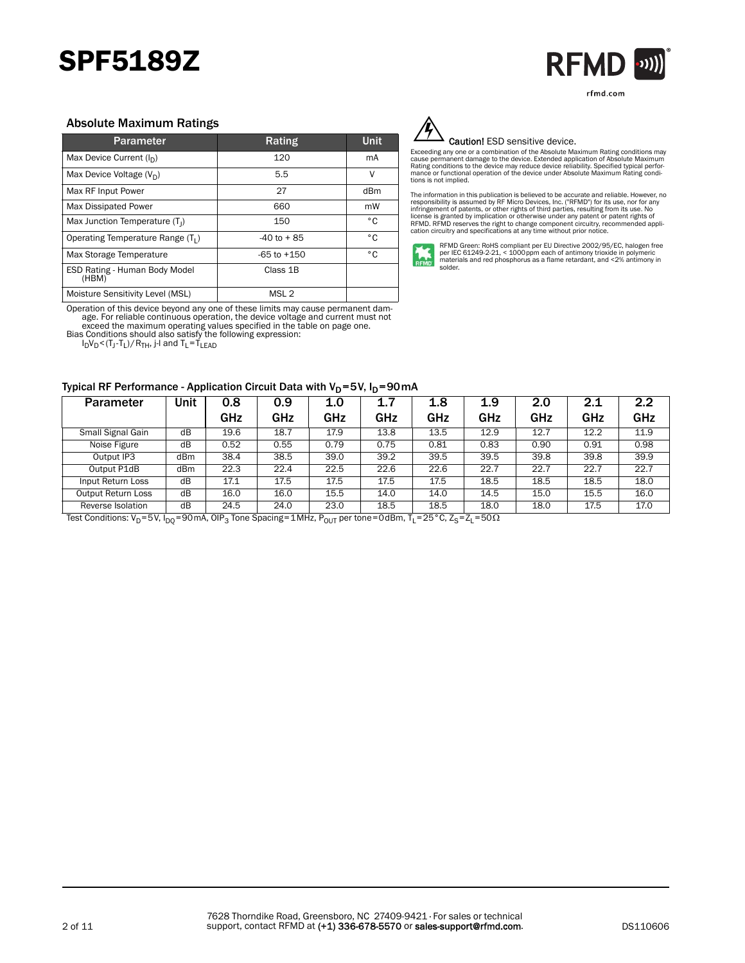

rfmd.com

#### Absolute Maximum Ratings

| <b>Parameter</b>                              | Rating           | <b>Unit</b> |
|-----------------------------------------------|------------------|-------------|
| Max Device Current $(I_n)$                    | 120              | mA          |
| Max Device Voltage $(V_D)$                    | 5.5              | ٧           |
| Max RF Input Power                            | 27               | dBm         |
| Max Dissipated Power                          | 660              | mW          |
| Max Junction Temperature (T <sub>1</sub> )    | 150              | ۰c          |
| Operating Temperature Range (T <sub>1</sub> ) | $-40$ to $+85$   | ۰c          |
| Max Storage Temperature                       | $-65$ to $+150$  | ۰c          |
| ESD Rating - Human Body Model<br>(HBM)        | Class 1B         |             |
| Moisture Sensitivity Level (MSL)              | MSL <sub>2</sub> |             |

Operation of this device beyond any one of these limits may cause permanent damage. For reliable continuous operation, the device voltage and current must not exceed the maximum operating values specified in the table on page one. Bias Conditions should also satisfy the following expression:

 $I_D V_D$ <(T $_J$ -T $_L$ )/R $_{TH}$ , j-I and T $_L$ =T $_{LEAD}$ 

#### Typical RF Performance - Application Circuit Data with  $V_D=5V$ ,  $I_D=90mA$



#### Caution! ESD sensitive device.

Exceeding any one or a combination of the Absolute Maximum Rating conditions may<br>cause permanent damage to the device. Extended application of Absolute Maximum<br>Rating conditions to the device may reduce device reliability. tions is not implied.

The information in this publication is believed to be accurate and reliable. However, no<br>responsibility is assumed by RF Micro Devices, Inc. ("RFMD") for its use, nor for any<br>infringement of patents, or other rights of thi



RFMD Green: RoHS compliant per EU Directive 2002/95/EC, halogen free<br>per IEC 61249-2-21, < 1000 ppm each of antimony trioxide in polymeric<br>materials and red phosphorus as a flame retardant, and <2% antimony in solder.

| <b>Parameter</b>          | Unit                                                               | 0.8  | 0.9  | 1.0  | 1.7  | 1.8  | 1.9  | 2.0  | 2.1  | 2.2  |
|---------------------------|--------------------------------------------------------------------|------|------|------|------|------|------|------|------|------|
|                           |                                                                    | GHz  | GHz  | GHz  | GHz  | GHz  | GHz  | GHz  | GHz  | GHz  |
| Small Signal Gain         | dB                                                                 | 19.6 | 18.7 | 17.9 | 13.8 | 13.5 | 12.9 | 12.7 | 12.2 | 11.9 |
| Noise Figure              | dB                                                                 | 0.52 | 0.55 | 0.79 | 0.75 | 0.81 | 0.83 | 0.90 | 0.91 | 0.98 |
| Output IP3                | dBm                                                                | 38.4 | 38.5 | 39.0 | 39.2 | 39.5 | 39.5 | 39.8 | 39.8 | 39.9 |
| Output P1dB               | dBm                                                                | 22.3 | 22.4 | 22.5 | 22.6 | 22.6 | 22.7 | 22.7 | 22.7 | 22.7 |
| Input Return Loss         | dB                                                                 | 17.1 | 17.5 | 17.5 | 17.5 | 17.5 | 18.5 | 18.5 | 18.5 | 18.0 |
| <b>Output Return Loss</b> | dB                                                                 | 16.0 | 16.0 | 15.5 | 14.0 | 14.0 | 14.5 | 15.0 | 15.5 | 16.0 |
| Reverse Isolation         | dB                                                                 | 24.5 | 24.0 | 23.0 | 18.5 | 18.5 | 18.0 | 18.0 | 17.5 | 17.0 |
| $Toot Condition (V - EV)$ | $-25007$<br>$-7$<br>$n \times \text{tan} - \text{ndD}$ T<br>$-500$ |      |      |      |      |      |      |      |      |      |

Test Conditions: V<sub>D</sub>=5V, I<sub>DQ</sub>=90mA, OIP<sub>3</sub> Tone Spacing=1MHz, P<sub>OUT</sub> per tone=0dBm, T<sub>L</sub>=25°C, Z<sub>S</sub>=Z<sub>L</sub>=50 $\Omega$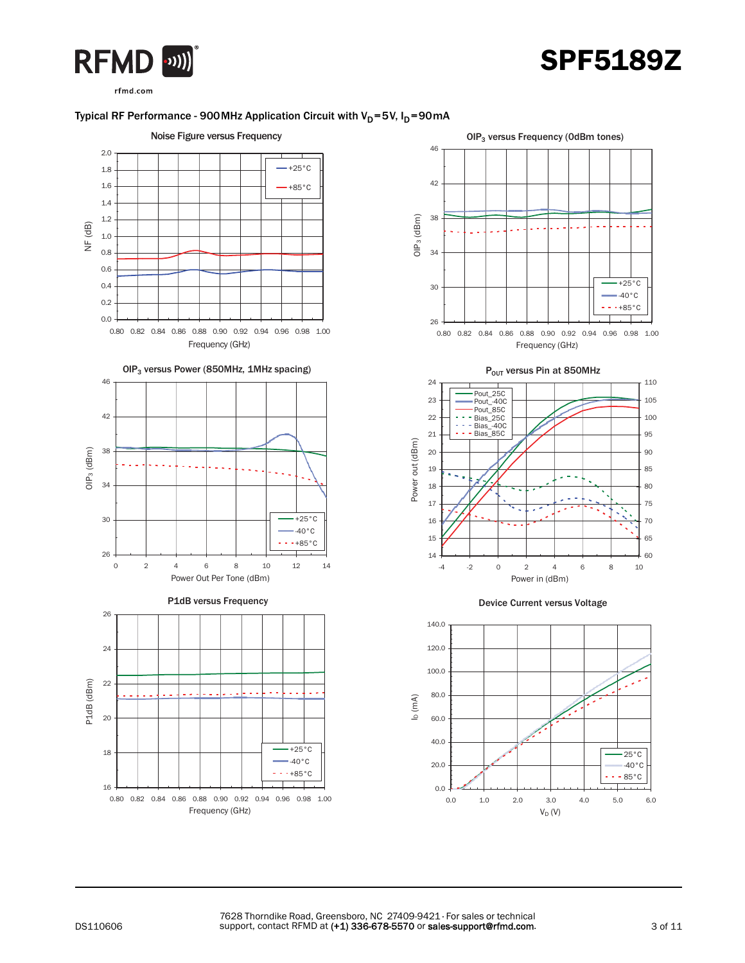



rfmd.com

### Typical RF Performance - 900 MHz Application Circuit with  $V_D$ =5V,  $I_D$ =90 mA



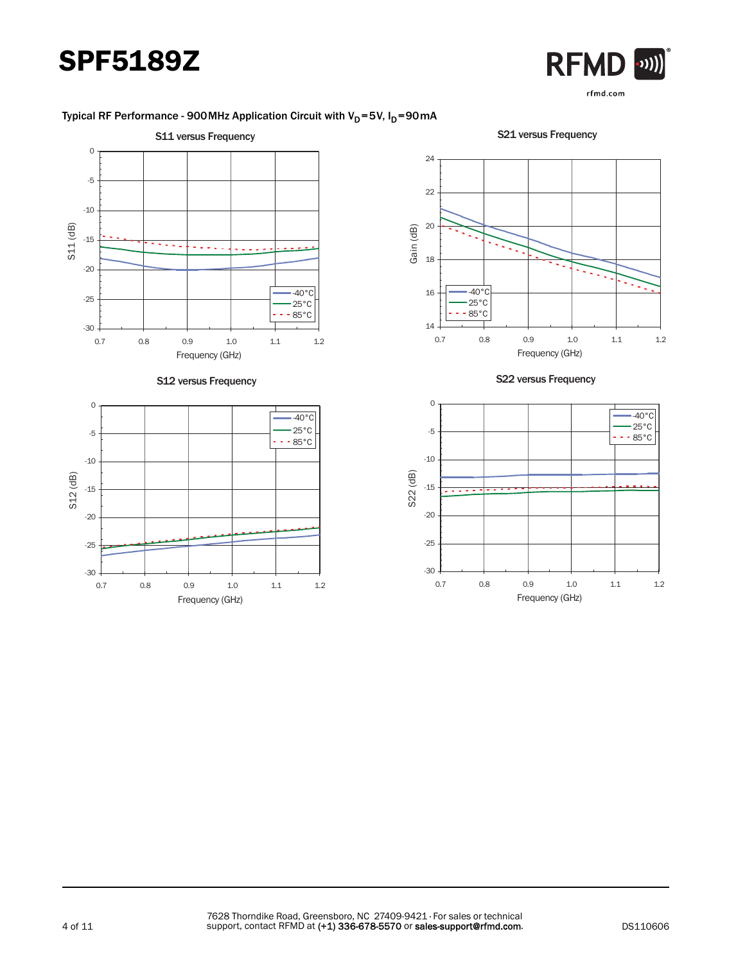

### Typical RF Performance - 900 MHz Application Circuit with  $V_D$ =5V,  $I_D$ =90 mA

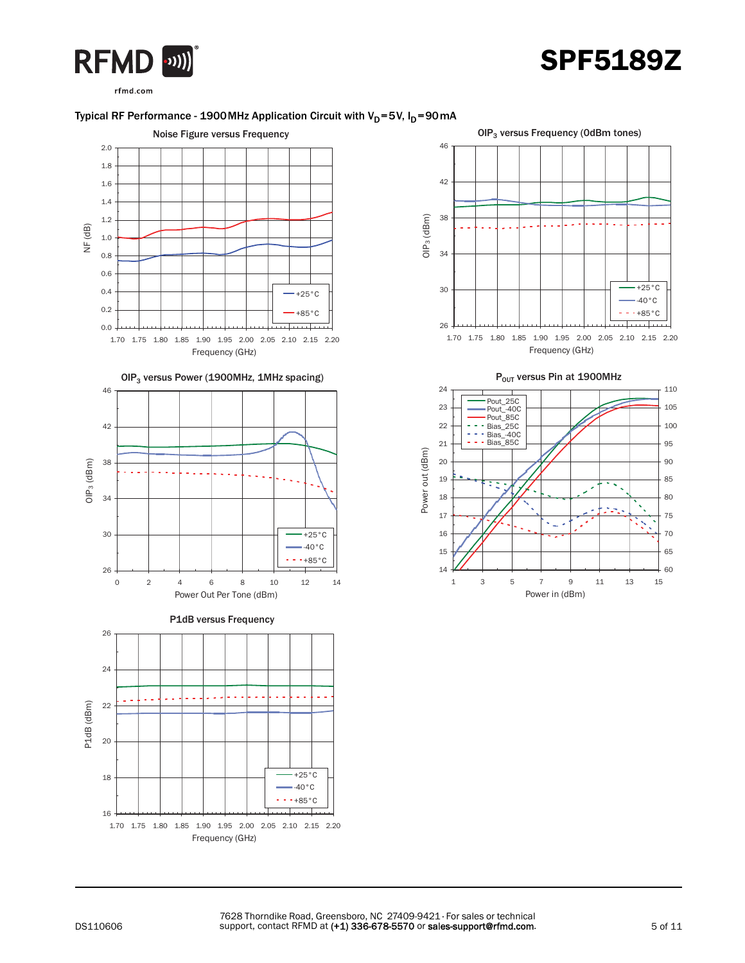



rfmd.com

### Typical RF Performance - 1900 MHz Application Circuit with  $V_D$ =5V,  $I_D$ =90 mA





P<sub>OUT</sub> versus Pin at 1900MHz

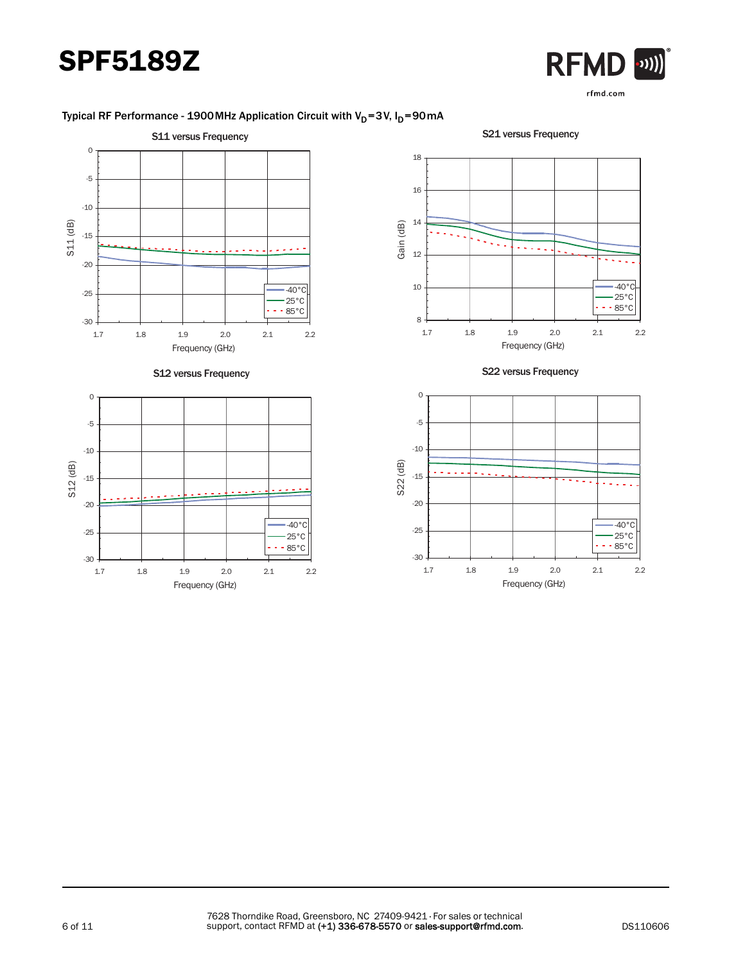

### Typical RF Performance - 1900 MHz Application Circuit with  $V_D$ =3V,  $I_D$ =90 mA

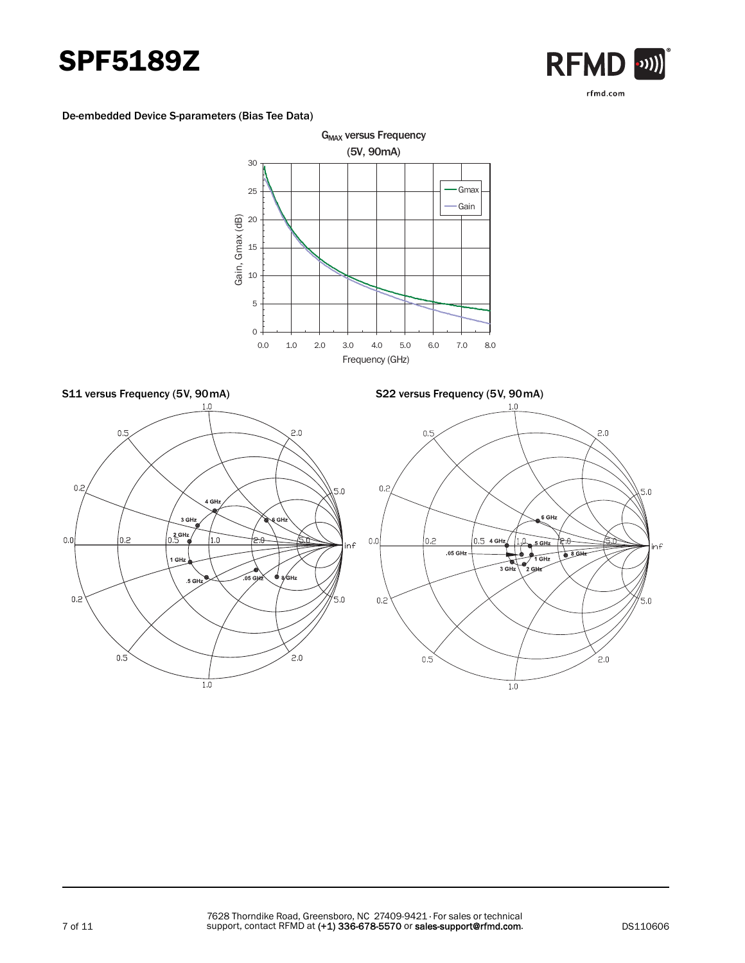



#### De-embedded Device S-parameters (Bias Tee Data)



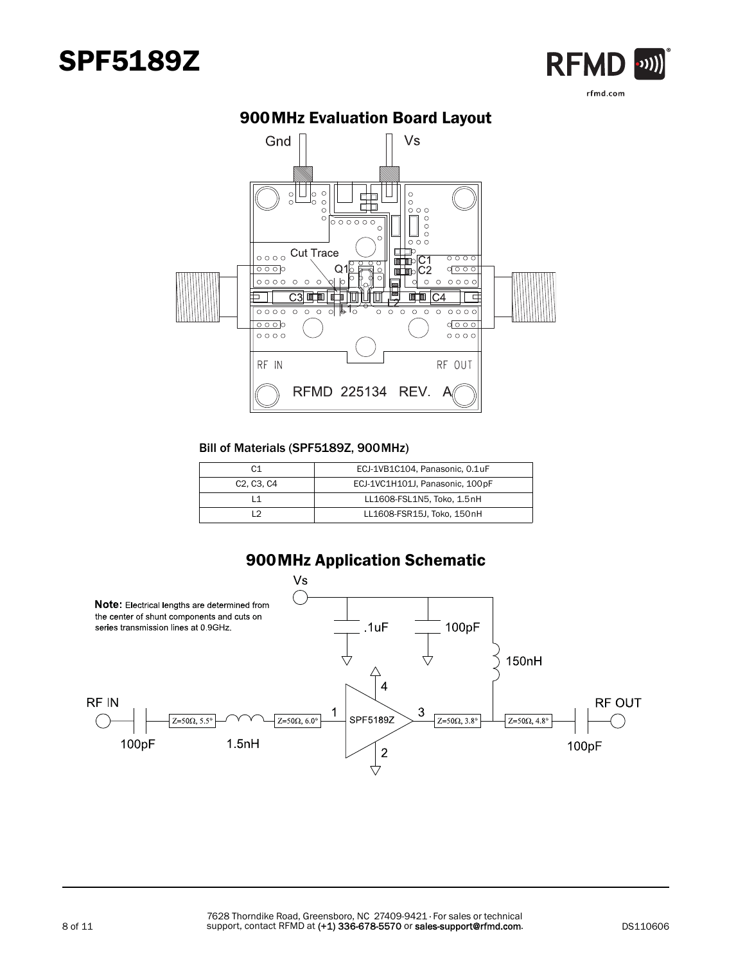



## 900MHz Evaluation Board Layout

#### Bill of Materials (SPF5189Z, 900MHz)

| C1                                               | ECJ-1VB1C104, Panasonic, 0.1uF   |
|--------------------------------------------------|----------------------------------|
| C <sub>2</sub> . C <sub>3</sub> . C <sub>4</sub> | ECJ-1VC1H101J, Panasonic, 100 pF |
|                                                  | LL1608-FSL1N5, Toko, 1.5nH       |
| ່າ                                               | LL1608-FSR15J, Toko, 150nH       |



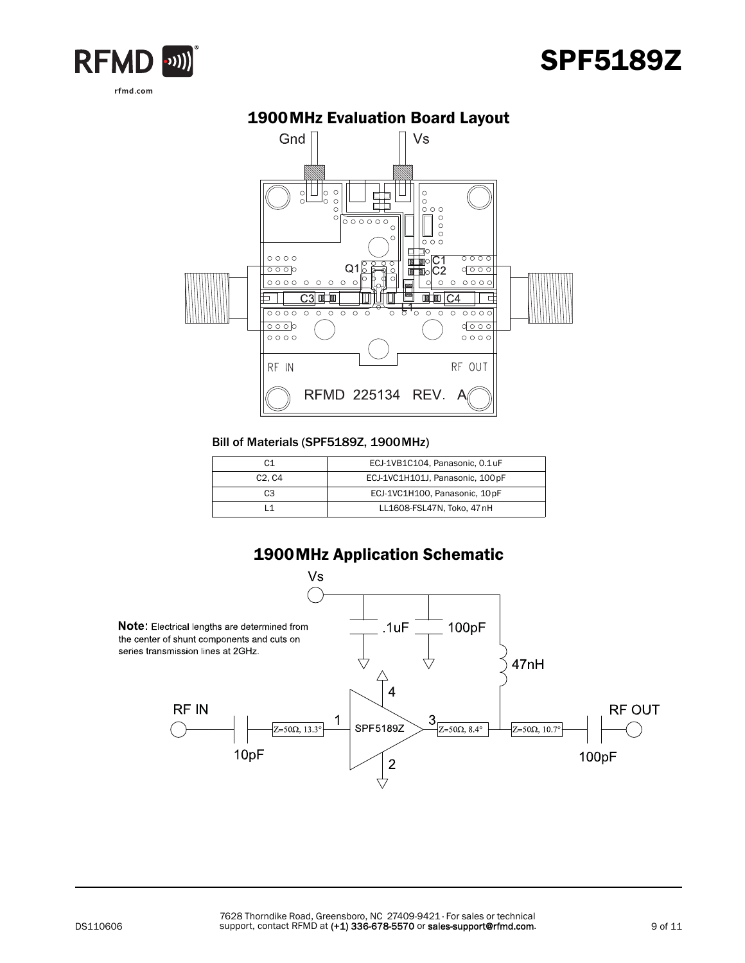



## 1900MHz Evaluation Board Layout

#### Bill of Materials (SPF5189Z, 1900MHz)

| C <sub>1</sub>                  | ECJ-1VB1C104, Panasonic, 0.1uF   |
|---------------------------------|----------------------------------|
| C <sub>2</sub> . C <sub>4</sub> | ECJ-1VC1H101J, Panasonic, 100 pF |
| C <sub>3</sub>                  | ECJ-1VC1H100, Panasonic, 10pF    |
|                                 | LL1608-FSL47N, Toko, 47 nH       |

### 1900MHz Application Schematic

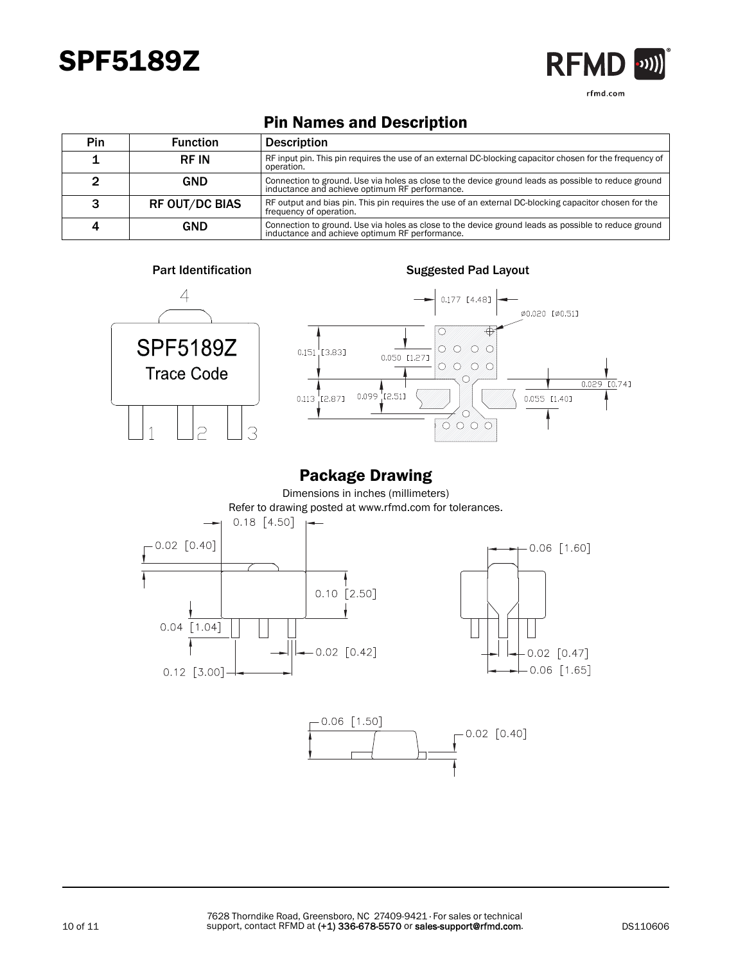

rfmd.com

## Pin Names and Description

| Pin | <b>Function</b>       | <b>Description</b>                                                                                                                                     |
|-----|-----------------------|--------------------------------------------------------------------------------------------------------------------------------------------------------|
|     | <b>RF IN</b>          | RF input pin. This pin requires the use of an external DC-blocking capacitor chosen for the frequency of<br>operation.                                 |
|     | GND                   | Connection to ground. Use via holes as close to the device ground leads as possible to reduce ground<br>inductance and achieve optimum RF performance. |
|     | <b>RF OUT/DC BIAS</b> | RF output and bias pin. This pin requires the use of an external DC-blocking capacitor chosen for the<br>frequency of operation.                       |
|     | GND                   | Connection to ground. Use via holes as close to the device ground leads as possible to reduce ground<br>inductance and achieve optimum RF performance. |



## Package Drawing